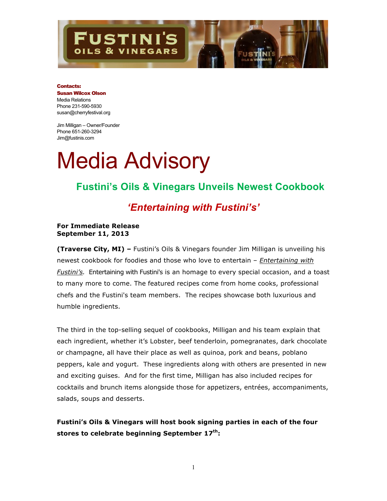## **STINI'S** & VINEGARS

#### Contacts:

Susan Wilcox Olson Media Relations Phone 231-590-5930 susan@cherryfestival.org

Jim Milligan – Owner/Founder Phone 651-260-3294 Jim@fustinis.com

# Media Advisory

## **Fustini's Oils & Vinegars Unveils Newest Cookbook**

## *'Entertaining with Fustini's'*

## **For Immediate Release September 11, 2013**

**(Traverse City, MI) –** Fustini's Oils & Vinegars founder Jim Milligan is unveiling his newest cookbook for foodies and those who love to entertain – *Entertaining with Fustini's.* Entertaining with Fustini's is an homage to every special occasion, and a toast to many more to come. The featured recipes come from home cooks, professional chefs and the Fustini's team members. The recipes showcase both luxurious and humble ingredients.

The third in the top-selling sequel of cookbooks, Milligan and his team explain that each ingredient, whether it's Lobster, beef tenderloin, pomegranates, dark chocolate or champagne, all have their place as well as quinoa, pork and beans, poblano peppers, kale and yogurt. These ingredients along with others are presented in new and exciting guises. And for the first time, Milligan has also included recipes for cocktails and brunch items alongside those for appetizers, entrées, accompaniments, salads, soups and desserts.

**Fustini's Oils & Vinegars will host book signing parties in each of the four stores to celebrate beginning September 17th:**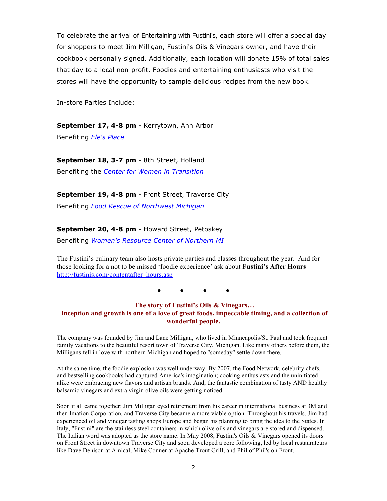To celebrate the arrival of Entertaining with Fustini's, each store will offer a special day for shoppers to meet Jim Milligan, Fustini's Oils & Vinegars owner, and have their cookbook personally signed. Additionally, each location will donate 15% of total sales that day to a local non-profit. Foodies and entertaining enthusiasts who visit the stores will have the opportunity to sample delicious recipes from the new book.

In-store Parties Include:

**September 17, 4-8 pm** - Kerrytown, Ann Arbor

Benefiting *Ele's Place*

**September 18, 3-7 pm** - 8th Street, Holland Benefiting the *Center for Women in Transition*

**September 19, 4-8 pm** - Front Street, Traverse City

Benefiting *Food Rescue of Northwest Michigan*

### **September 20, 4-8 pm** - Howard Street, Petoskey

Benefiting *Women's Resource Center of Northern MI*

The Fustini's culinary team also hosts private parties and classes throughout the year. And for those looking for a not to be missed 'foodie experience' ask about **Fustini's After Hours –** http://fustinis.com/contentafter\_hours.asp

**● ● ● ●**

### **The story of Fustini's Oils & Vinegars… Inception and growth is one of a love of great foods, impeccable timing, and a collection of wonderful people.**

The company was founded by Jim and Lane Milligan, who lived in Minneapolis/St. Paul and took frequent family vacations to the beautiful resort town of Traverse City, Michigan. Like many others before them, the Milligans fell in love with northern Michigan and hoped to "someday" settle down there.

At the same time, the foodie explosion was well underway. By 2007, the Food Network, celebrity chefs, and bestselling cookbooks had captured America's imagination; cooking enthusiasts and the uninitiated alike were embracing new flavors and artisan brands. And, the fantastic combination of tasty AND healthy balsamic vinegars and extra virgin olive oils were getting noticed.

Soon it all came together: Jim Milligan eyed retirement from his career in international business at 3M and then Imation Corporation, and Traverse City became a more viable option. Throughout his travels, Jim had experienced oil and vinegar tasting shops Europe and began his planning to bring the idea to the States. In Italy, "Fustini" are the stainless steel containers in which olive oils and vinegars are stored and dispensed. The Italian word was adopted as the store name. In May 2008, Fustini's Oils & Vinegars opened its doors on Front Street in downtown Traverse City and soon developed a core following, led by local restaurateurs like Dave Denison at Amical, Mike Conner at Apache Trout Grill, and Phil of Phil's on Front.